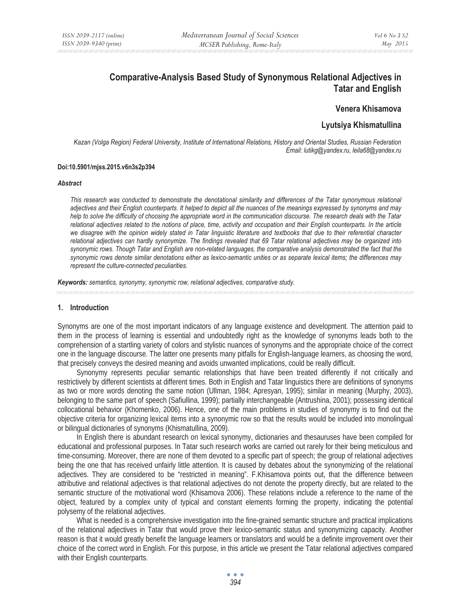# **Comparative-Analysis Based Study of Synonymous Relational Adjectives in Tatar and English**

## **Venera Khisamova**

## **Lyutsiya Khismatullina**

*Kazan (Volga Region) Federal University, Institute of International Relations, History and Oriental Studies, Russian Federation Email: lutikg@yandex.ru, leila68@yandex.ru* 

#### **Doi:10.5901/mjss.2015.v6n3s2p394**

#### *Abstract*

*This research was conducted to demonstrate the denotational similarity and differences of the Tatar synonymous relational adjectives and their English counterparts. It helped to depict all the nuances of the meanings expressed by synonyms and may help to solve the difficulty of choosing the appropriate word in the communication discourse. The research deals with the Tatar relational adjectives related to the notions of place, time, activity and occupation and their English counterparts. In the article we disagree with the opinion widely stated in Tatar linguistic literature and textbooks that due to their referential character relational adjectives can hardly synonymize. The findings revealed that 69 Tatar relational adjectives may be organized into*  synonymic rows. Though Tatar and English are non-related languages, the comparative analysis demonstrated the fact that the *synonymic rows denote similar denotations either as lexico-semantic unities or as separate lexical items; the differences may represent the culture-connected peculiarities.* 

*Keywords: semantics, synonymy, synonymic row, relational adjectives, comparative study.*

#### **1. Introduction**

Synonyms are one of the most important indicators of any language existence and development. The attention paid to them in the process of learning is essential and undoubtedly right as the knowledge of synonyms leads both to the comprehension of a startling variety of colors and stylistic nuances of synonyms and the appropriate choice of the correct one in the language discourse. The latter one presents many pitfalls for English-language learners, as choosing the word, that precisely conveys the desired meaning and avoids unwanted implications, could be really difficult.

Synonymy represents peculiar semantic relationships that have been treated differently if not critically and restrictively by different scientists at different times. Both in English and Tatar linguistics there are definitions of synonyms as two or more words denoting the same notion (Ullman, 1984; Apresyan, 1995); similar in meaning (Murphy, 2003), belonging to the same part of speech (Safiullina, 1999); partially interchangeable (Antrushina, 2001); possessing identical collocational behavior (Khomenko, 2006). Hence, one of the main problems in studies of synonymy is to find out the objective criteria for organizing lexical items into a synonymic row so that the results would be included into monolingual or bilingual dictionaries of synonyms (Khismatullina, 2009).

In English there is abundant research on lexical synonymy, dictionaries and thesauruses have been compiled for educational and professional purposes. In Tatar such research works are carried out rarely for their being meticulous and time-consuming. Moreover, there are none of them devoted to a specific part of speech; the group of relational adjectives being the one that has received unfairly little attention. It is caused by debates about the synonymizing of the relational adjectives. They are considered to be "restricted in meaning". F.Khisamova points out, that the difference between attributive and relational adjectives is that relational adjectives do not denote the property directly, but are related to the semantic structure of the motivational word (Khisamova 2006). These relations include a reference to the name of the object, featured by a complex unity of typical and constant elements forming the property, indicating the potential polysemy of the relational adjectives.

What is needed is a comprehensive investigation into the fine-grained semantic structure and practical implications of the relational adjectives in Tatar that would prove their lexico-semantic status and synonymizing capacity. Another reason is that it would greatly benefit the language learners or translators and would be a definite improvement over their choice of the correct word in English. For this purpose, in this article we present the Tatar relational adjectives compared with their English counterparts.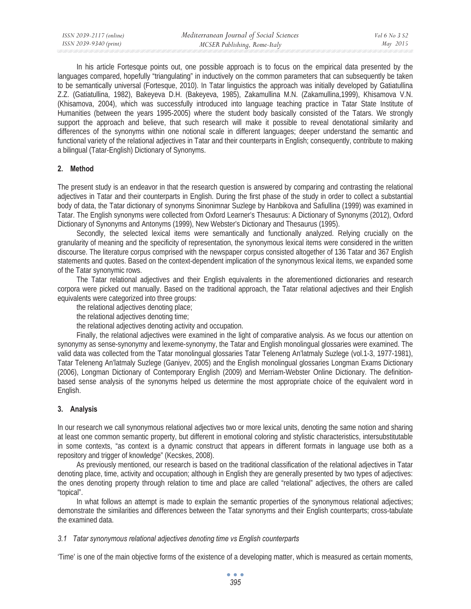| ISSN 2039-2117 (online) | Mediterranean Journal of Social Sciences | Vol 6 No 3 S2 |
|-------------------------|------------------------------------------|---------------|
| ISSN 2039-9340 (print)  | MCSER Publishing, Rome-Italy             | May 2015      |

In his article Fortesque points out, one possible approach is to focus on the empirical data presented by the languages compared, hopefully "triangulating" in inductively on the common parameters that can subsequently be taken to be semantically universal (Fortesque, 2010). In Tatar linguistics the approach was initially developed by Gatiatullina Z.Z. (Gatiatullina, 1982), Bakeyeva D.H. (Bakeyeva, 1985), Zakamullina M.N. (Zakamullina,1999), Khisamova V.N. (Khisamova, 2004), which was successfully introduced into language teaching practice in Tatar State Institute of Humanities (between the years 1995-2005) where the student body basically consisted of the Tatars. We strongly support the approach and believe, that such research will make it possible to reveal denotational similarity and differences of the synonyms within one notional scale in different languages; deeper understand the semantic and functional variety of the relational adjectives in Tatar and their counterparts in English; consequently, contribute to making a bilingual (Tatar-English) Dictionary of Synonyms.

## **2. Method**

The present study is an endeavor in that the research question is answered by comparing and contrasting the relational adjectives in Tatar and their counterparts in English. During the first phase of the study in order to collect a substantial body of data, the Tatar dictionary of synonyms Sinonimnar Suzlege by Hanbikova and Safiullina (1999) was examined in Tatar. The English synonyms were collected from Oxford Learner's Thesaurus: A Dictionary of Synonyms (2012), Oxford Dictionary of Synonyms and Antonyms (1999), New Webster's Dictionary and Thesaurus (1995).

Secondly, the selected lexical items were semantically and functionally analyzed. Relying crucially on the granularity of meaning and the specificity of representation, the synonymous lexical items were considered in the written discourse. The literature corpus comprised with the newspaper corpus consisted altogether of 136 Tatar and 367 English statements and quotes. Based on the context-dependent implication of the synonymous lexical items, we expanded some of the Tatar synonymic rows.

The Tatar relational adjectives and their English equivalents in the aforementioned dictionaries and research corpora were picked out manually. Based on the traditional approach, the Tatar relational adjectives and their English equivalents were categorized into three groups:

the relational adjectives denoting place;

the relational adjectives denoting time;

the relational adjectives denoting activity and occupation.

Finally, the relational adjectives were examined in the light of comparative analysis. As we focus our attention on synonymy as sense-synonymy and lexeme-synonymy, the Tatar and English monolingual glossaries were examined. The valid data was collected from the Tatar monolingual glossaries Tatar Teleneng An'latmaly Suzlege (vol.1-3, 1977-1981), Tatar Teleneng An'latmaly Suzlege (Ganiyev, 2005) and the English monolingual glossaries Longman Exams Dictionary (2006), Longman Dictionary of Contemporary English (2009) and Merriam-Webster Online Dictionary. The definitionbased sense analysis of the synonyms helped us determine the most appropriate choice of the equivalent word in English.

## **3. Analysis**

In our research we call synonymous relational adjectives two or more lexical units, denoting the same notion and sharing at least one common semantic property, but different in emotional coloring and stylistic characteristics, intersubstitutable in some contexts, "as context is a dynamic construct that appears in different formats in language use both as a repository and trigger of knowledge" (Kecskes, 2008).

As previously mentioned, our research is based on the traditional classification of the relational adjectives in Tatar denoting place, time, activity and occupation; although in English they are generally presented by two types of adjectives: the ones denoting property through relation to time and place are called "relational" adjectives, the others are called "topical".

In what follows an attempt is made to explain the semantic properties of the synonymous relational adjectives; demonstrate the similarities and differences between the Tatar synonyms and their English counterparts; cross-tabulate the examined data.

## *3.1 Tatar synonymous relational adjectives denoting time vs English counterparts*

'Time' is one of the main objective forms of the existence of a developing matter, which is measured as certain moments,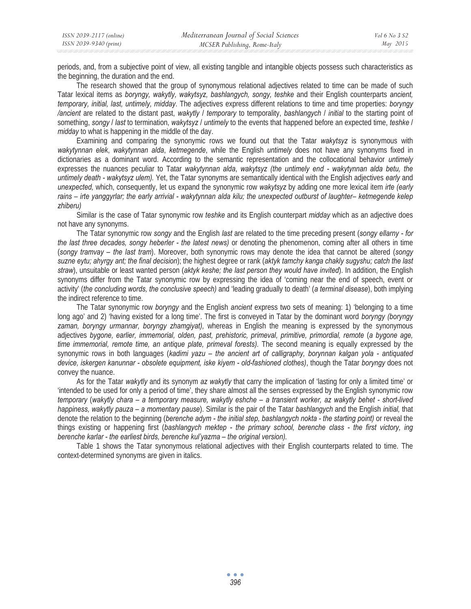periods, and, from a subjective point of view, all existing tangible and intangible objects possess such characteristics as the beginning, the duration and the end.

The research showed that the group of synonymous relational adjectives related to time can be made of such Tatar lexical items as *boryngy, wakytly, wakytsyz, bashlangych, songy, teshke* and their English counterparts *ancient, temporary, initial, last, untimely, midday*. The adjectives express different relations to time and time properties: *boryngy /ancient* are related to the distant past, *wakytly* / *temporary* to temporality, *bashlangych* / *initial* to the starting point of something, *songy* / *last* to termination, *wakytsyz* / *untimely* to the events that happened before an expected time, *teshke* / *midday* to what is happening in the middle of the day.

Examining and comparing the synonymic rows we found out that the Tatar *wakytsyz* is synonymous with *wakytynnan elek*, *wakytynnan alda*, *ketmegende*, while the English *untimely* does not have any synonyms fixed in dictionaries as a dominant word. According to the semantic representation and the collocational behavior *untimely* expresses the nuances peculiar to Tatar *wakytynnan alda*, *wakytsyz (the untimely end - wakytynnan alda betu, the untimely death - wakytsyz ulem).* Yet, the Tatar synonyms are semantically identical with the English adjectives *early* and *unexpected,* which, consequently, let us expand the synonymic row *wakytsyz* by adding one more lexical item *irte (early rains* – *irte yanggyrlar; the early arrivial - wakytynnan alda kilu; the unexpected outburst of laughter*– *ketmegende kelep zhiberu)* 

Similar is the case of Tatar synonymic row *teshke* and its English counterpart *midday* which as an adjective does not have any synonyms.

The Tatar synonymic row *songy* and the English *last* are related to the time preceding present (*songy ellarny - for the last three decades, songy heberler - the latest news)* or denoting the phenomenon, coming after all others in time (*songy tramvay – the last tram*). Moreover, both synonymic rows may denote the idea that cannot be altered (*songy suzne eytu; ahyrgy ant; the final decision*); the highest degree or rank (*aktyk tamchy kanga chakly sugyshu; catch the last straw*), unsuitable or least wanted person (*aktyk keshe; the last person they would have invited*). In addition, the English synonyms differ from the Tatar synonymic row by expressing the idea of 'coming near the end of speech, event or activity' (*the concluding words, the conclusive speech)* and 'leading gradually to death' (*a terminal disease*), both implying the indirect reference to time.

The Tatar synonymic row *boryngy* and the English *ancient* express two sets of meaning: 1) 'belonging to a time long ago' and 2) 'having existed for a long time'. The first is conveyed in Tatar by the dominant word *boryngy (boryngy*  zaman, boryngy urmannar, boryngy zhamgiyat), whereas in English the meaning is expressed by the synonymous adjectives *bygone, earlier, immemorial, olden, past, prehistoric, primeval, primitive, primordial, remote* (*a bygone age, time immemorial, remote time, an antique plate, primeval forests).* The second meaning is equally expressed by the synonymic rows in both languages (*kadimi yazu – the ancient art of calligraphy, borynnan kalgan yola - antiquated device, iskergen kanunnar - obsolete equipment, iske kiyem - old-fashioned clothes)*, though the Tatar *boryngy* does not convey the nuance.

As for the Tatar *wakytly* and its synonym *az wakytly* that carry the implication of 'lasting for only a limited time' or 'intended to be used for only a period of time', they share almost all the senses expressed by the English synonymic row *temporary* (*wakytly chara – a temporary measure, wakytly eshche – a transient worker, az wakytly behet - short-lived happiness, wakytly pauza – a momentary pause*). Similar is the pair of the Tatar *bashlangych* and the English *initial,* that denote the relation to the beginning (*berenche adym - the initial step, bashlangych nokta - the starting point)* or reveal the things existing or happening first (*bashlangych mektep - the primary school, berenche class - the first victory, ing berenche karlar - the earliest birds, berenche kul'yazma – the original version).* 

Table 1 shows the Tatar synonymous relational adjectives with their English counterparts related to time. The context-determined synonyms are given in italics.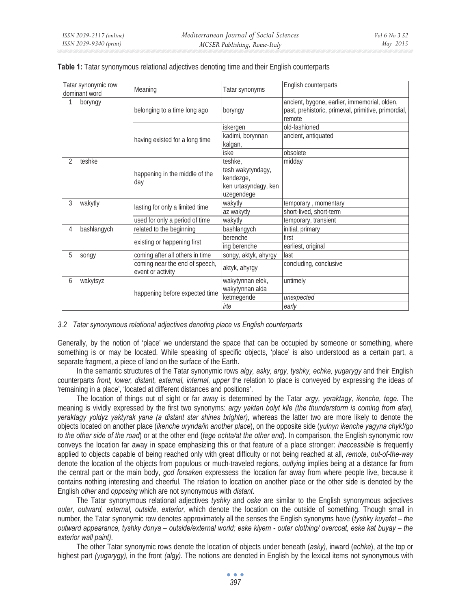|   | Tatar synonymic row<br>dominant word | Meaning                                             | Tatar synonyms                                                                  | English counterparts                                                                                          |
|---|--------------------------------------|-----------------------------------------------------|---------------------------------------------------------------------------------|---------------------------------------------------------------------------------------------------------------|
| 1 | boryngy                              | belonging to a time long ago                        | boryngy                                                                         | ancient, bygone, earlier, immemorial, olden,<br>past, prehistoric, primeval, primitive, primordial,<br>remote |
|   |                                      |                                                     | iskergen                                                                        | old-fashioned                                                                                                 |
|   |                                      | having existed for a long time                      | kadimi, borynnan<br>kalgan,                                                     | ancient, antiquated                                                                                           |
|   |                                      |                                                     | iske                                                                            | obsolete                                                                                                      |
| 2 | teshke                               | happening in the middle of the<br>day               | teshke,<br>tesh wakytyndagy,<br>kendezge,<br>ken urtasyndagy, ken<br>uzegendege | midday                                                                                                        |
| 3 | wakytly                              | lasting for only a limited time                     | wakytly                                                                         | temporary, momentary                                                                                          |
|   |                                      |                                                     | az wakytly                                                                      | short-lived, short-term                                                                                       |
|   |                                      | used for only a period of time                      | wakytly                                                                         | temporary, transient                                                                                          |
| 4 | bashlangych                          | related to the beginning                            | bashlangych                                                                     | initial, primary                                                                                              |
|   |                                      |                                                     | berenche                                                                        | first                                                                                                         |
|   |                                      | existing or happening first                         | ing berenche                                                                    | earliest, original                                                                                            |
| 5 | songy                                | coming after all others in time                     | songy, aktyk, ahyrgy                                                            | llast                                                                                                         |
|   |                                      | coming near the end of speech,<br>event or activity | aktyk, ahyrgy                                                                   | concluding, conclusive                                                                                        |
| 6 | wakytsyz                             | happening before expected time                      | wakytynnan elek,<br>wakytynnan alda                                             | untimely                                                                                                      |
|   |                                      |                                                     | ketmegende                                                                      | unexpected                                                                                                    |
|   |                                      |                                                     | irte                                                                            | early                                                                                                         |

|  |  |  | Table 1: Tatar synonymous relational adjectives denoting time and their English counterparts |  |
|--|--|--|----------------------------------------------------------------------------------------------|--|
|--|--|--|----------------------------------------------------------------------------------------------|--|

## *3.2 Tatar synonymous relational adjectives denoting place vs English counterparts*

Generally, by the notion of 'place' we understand the space that can be occupied by someone or something, where something is or may be located. While speaking of specific objects, 'place' is also understood as a certain part, a separate fragment, a piece of land on the surface of the Earth.

In the semantic structures of the Tatar synonymic rows *algy, asky, argy, tyshky, echke, yugarygy* and their English counterparts *front, lower, distant, external, internal, upper* the relation to place is conveyed by expressing the ideas of 'remaining in a place', 'located at different distances and positions'.

The location of things out of sight or far away is determined by the Tatar *argy, yeraktagy, ikenche, tege.* The meaning is vividly expressed by the first two synonyms: *argy yaktan bolyt kile (the thunderstorm is coming from afar), yeraktagy yoldyz yaktyrak yana (a distant star shines brighter),* whereas the latter two are more likely to denote the objects located on another place (*ikenche urynda/in another place*), on the opposite side (*yulnyn ikenche yagyna chyk!/go to the other side of the road*) or at the other end (*tege ochta/at the other end*). In comparison, the English synonymic row conveys the location far away in space emphasizing this or that feature of a place stronger: *inaccessible* is frequently applied to objects capable of being reached only with great difficulty or not being reached at all, *remote, out-of-the-way* denote the location of the objects from populous or much-traveled regions, *outlying* implies being at a distance far from the central part or the main body, *god forsaken* expressess the location far away from where people live, because it contains nothing interesting and cheerful. The relation to location on another place or the other side is denoted by the English *other* and *opposing* which are not synonymous with *distant*.

The Tatar synonymous relational adjectives *tyshky* and *oske* are similar to the English synonymous adjectives *outer, outward, external, outside, exterior,* which denote the location on the outside of something. Though small in number, the Tatar synonymic row denotes approximately all the senses the English synonyms have (*tyshky kuyafet – the outward appearance, tyshky donya – outside/external world; eske kiyem - outer clothing/ overcoat, eske kat buyay – the exterior wall paint).* 

The other Tatar synonymic rows denote the location of objects under beneath (*asky),* inward (*echke*), at the top or highest part *(yugarygy),* in the front *(algy).* The notions are denoted in English by the lexical items not synonymous with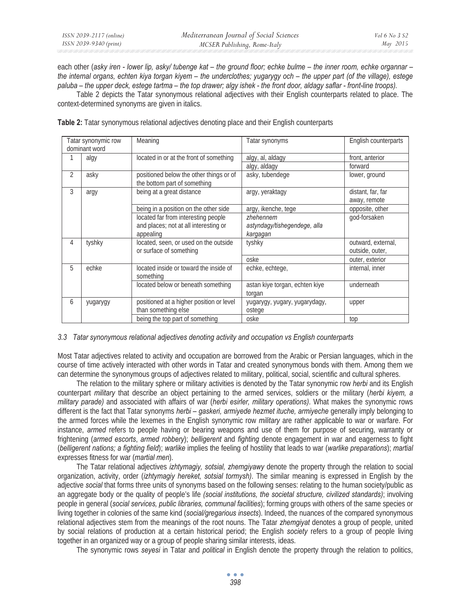each other (*asky iren - lower lip, asky/ tubenge kat – the ground floor; echke bulme – the inner room, echke organnar – the internal organs, echten kiya torgan kiyem – the underclothes; yugarygy och – the upper part (of the village), estege paluba – the upper deck, estege tartma – the top drawer; algy ishek - the front door, aldagy saflar - front-line troops).* 

Table 2 depicts the Tatar synonymous relational adjectives with their English counterparts related to place. The context-determined synonyms are given in italics.

|                | Tatar synonymic row<br>dominant word | Meaning                                                                                   | Tatar synonyms                                        | English counterparts                  |
|----------------|--------------------------------------|-------------------------------------------------------------------------------------------|-------------------------------------------------------|---------------------------------------|
|                | algy                                 | located in or at the front of something                                                   | algy, al, aldagy                                      | front, anterior                       |
|                |                                      |                                                                                           | algy, aldagy                                          | forward                               |
| $\overline{2}$ | asky                                 | positioned below the other things or of<br>the bottom part of something                   | asky, tubendege                                       | lower, ground                         |
| 3              | argy                                 | being at a great distance                                                                 | argy, yeraktagy                                       | distant, far, far<br>away, remote     |
|                |                                      | being in a position on the other side                                                     | argy, ikenche, tege                                   | opposite, other                       |
|                |                                      | located far from interesting people<br>and places; not at all interesting or<br>appealing | zhehennem<br>astyndagy/tishegendege, alla<br>kargagan | god-forsaken                          |
| 4              | tyshky                               | located, seen, or used on the outside<br>or surface of something                          | tyshky                                                | outward, external,<br>outside, outer, |
|                |                                      |                                                                                           | oske                                                  | outer, exterior                       |
| 5              | echke                                | located inside or toward the inside of<br>something                                       | echke, echtege,                                       | internal, inner                       |
|                |                                      | located below or beneath something                                                        | astan kiye torgan, echten kiye<br>torgan              | underneath                            |
| 6              | yugarygy                             | positioned at a higher position or level<br>than something else                           | yugarygy, yugary, yugarydagy,<br>ostege               | upper                                 |
|                |                                      | being the top part of something                                                           | oske                                                  | top                                   |

**Table 2:** Tatar synonymous relational adjectives denoting place and their English counterparts

## *3.3 Tatar synonymous relational adjectives denoting activity and occupation vs English counterparts*

Most Tatar adjectives related to activity and occupation are borrowed from the Arabic or Persian languages, which in the course of time actively interacted with other words in Tatar and created synonymous bonds with them. Among them we can determine the synonymous groups of adjectives related to military, political, social, scientific and cultural spheres.

The relation to the military sphere or military activities is denoted by the Tatar synonymic row *herbi* and its English counterpart *military* that describe an object pertaining to the armed services, soldiers or the military (*herbi kiyem, a military parade)* and associated with affairs of war (*herbi esirler, military operations)*. What makes the synonymic rows different is the fact that Tatar synonyms *herbi – gaskeri, armiyede hezmet ituche, armiyeche* generally imply belonging to the armed forces while the lexemes in the English synonymic row *military* are rather applicable to war or warfare. For instance, *armed* refers to people having or bearing weapons and use of them for purpose of securing, warranty or frightening (*armed escorts*, *armed robbery*); *belligerent* and *fighting* denote engagement in war and eagerness to fight (*belligerent nations; a fighting field*); *warlike* implies the feeling of hostility that leads to war (*warlike preparations*); *martial* expresses fitness for war (*martial men*).

The Tatar relational adjectives *izhtymagiy, sotsial, zhemgiyawy* denote the property through the relation to social organization, activity, order (*izhtymagiy hereket, sotsial tormysh)*. The similar meaning is expressed in English by the adjective *social* that forms three units of synonyms based on the following senses: relating to the human society/public as an aggregate body or the quality of people's life *(social institutions, the societal structure, civilized standards)*; involving people in general (*social services, public libraries, communal facilities*); forming groups with others of the same species or living together in colonies of the same kind (*social/gregarious insects*). Indeed, the nuances of the compared synonymous relational adjectives stem from the meanings of the root nouns. The Tatar *zhemgiyat* denotes a group of people, united by social relations of production at a certain historical period; the English *society* refers to a group of people living together in an organized way or a group of people sharing similar interests, ideas.

The synonymic rows *seyesi* in Tatar and *political* in English denote the property through the relation to politics,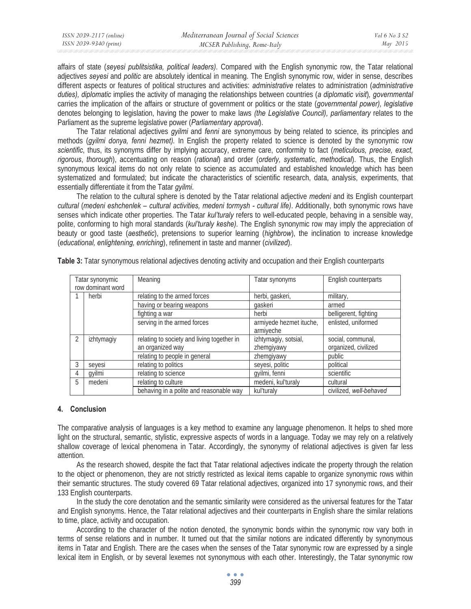| ISSN 2039-2117 (online) | Mediterranean Journal of Social Sciences | Vol 6 No 3 S2 |
|-------------------------|------------------------------------------|---------------|
| ISSN 2039-9340 (print)  | MCSER Publishing, Rome-Italy             | May 2015      |

affairs of state (*seyesi publitsistika, political leaders)*. Compared with the English synonymic row, the Tatar relational adjectives *seyesi* and *politic* are absolutely identical in meaning. The English synonymic row, wider in sense, describes different aspects or features of political structures and activities: *administrative* relates to administration (*administrative duties), diplomatic* implies the activity of managing the relationships between countries (*a diplomatic visit*)*, governmental*  carries the implication of the affairs or structure of government or politics or the state (*governmental power), legislative*  denotes belonging to legislation, having the power to make laws *(the Legislative Council), parliamentary* relates to the Parliament as the supreme legislative power (*Parliamentary approval*).

The Tatar relational adjectives *gyilmi* and *fenni* are synonymous by being related to science, its principles and methods (*gyilmi donya, fenni hezmet).* In English the property related to science is denoted by the synonymic row *scientific*, thus, its synonyms differ by implying accuracy, extreme care, conformity to fact (*meticulous, precise, exact, rigorous*, *thorough*), accentuating on reason (*rational*) and order (*orderly, systematic*, *methodical*). Thus, the English synonymous lexical items do not only relate to science as accumulated and established knowledge which has been systematized and formulated; but indicate the characteristics of scientific research, data, analysis, experiments, that essentially differentiate it from the Tatar *gyilmi*.

The relation to the cultural sphere is denoted by the Tatar relational adjective *medeni* and its English counterpart *cultural* (*medeni eshchenlek – cultural activities, medeni tormysh - cultural life)*. Additionally, both synonymic rows have senses which indicate other properties. The Tatar *kul'turaly* refers to well-educated people, behaving in a sensible way, polite, conforming to high moral standards (*kul'turaly keshe).* The English synonymic row may imply the appreciation of beauty or good taste (*aesthetic*), pretensions to superior learning (*highbrow*), the inclination to increase knowledge (*educational, enlightening, enriching*), refinement in taste and manner (*civilized*).

|   | Tatar synonymic   | Meaning                                    | Tatar synonyms          | English counterparts    |
|---|-------------------|--------------------------------------------|-------------------------|-------------------------|
|   | row dominant word |                                            |                         |                         |
|   | herbi             | relating to the armed forces               | herbi, gaskeri,         | military,               |
|   |                   | having or bearing weapons                  | gaskeri                 | armed                   |
|   |                   | fighting a war                             | herbi                   | belligerent, fighting   |
|   |                   | serving in the armed forces                | armiyede hezmet ituche, | enlisted, uniformed     |
|   |                   |                                            | armiyeche               |                         |
| 2 | izhtymagiy        | relating to society and living together in | izhtymagiy, sotsial,    | social, communal,       |
|   |                   | an organized way                           | zhemgiyawy              | organized, civilized    |
|   |                   | relating to people in general              | zhemgiyawy              | public                  |
| 3 | seyesi            | relating to politics                       | seyesi, politic         | political               |
| 4 | gyilmi            | relating to science                        | gyilmi, fenni           | scientific              |
| 5 | medeni            | relating to culture                        | medeni, kul'turaly      | cultural                |
|   |                   | behaving in a polite and reasonable way    | kul'turaly              | civilized, well-behaved |

**Table 3:** Tatar synonymous relational adjectives denoting activity and occupation and their English counterparts

## **4. Conclusion**

The comparative analysis of languages is a key method to examine any language phenomenon. It helps to shed more light on the structural, semantic, stylistic, expressive aspects of words in a language. Today we may rely on a relatively shallow coverage of lexical phenomena in Tatar. Accordingly, the synonymy of relational adjectives is given far less attention.

As the research showed, despite the fact that Tatar relational adjectives indicate the property through the relation to the object or phenomenon, they are not strictly restricted as lexical items capable to organize synonymic rows within their semantic structures. The study covered 69 Tatar relational adjectives, organized into 17 synonymic rows, and their 133 English counterparts.

In the study the core denotation and the semantic similarity were considered as the universal features for the Tatar and English synonyms. Hence, the Tatar relational adjectives and their counterparts in English share the similar relations to time, place, activity and occupation.

According to the character of the notion denoted, the synonymic bonds within the synonymic row vary both in terms of sense relations and in number. It turned out that the similar notions are indicated differently by synonymous items in Tatar and English. There are the cases when the senses of the Tatar synonymic row are expressed by a single lexical item in English, or by several lexemes not synonymous with each other. Interestingly, the Tatar synonymic row